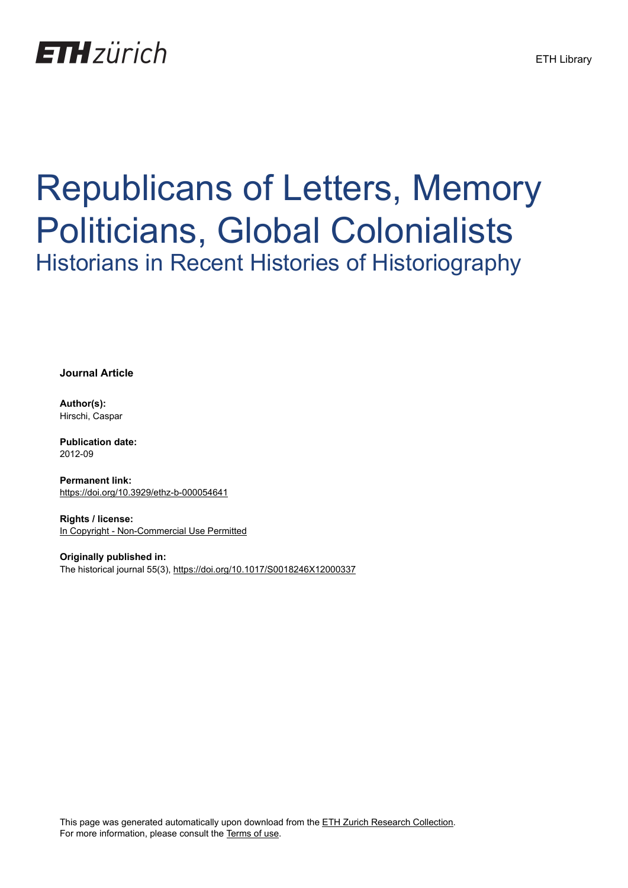## **ETH**zürich

# Republicans of Letters, Memory Politicians, Global Colonialists Historians in Recent Histories of Historiography

**Journal Article**

**Author(s):** Hirschi, Caspar

**Publication date:** 2012-09

**Permanent link:** <https://doi.org/10.3929/ethz-b-000054641>

**Rights / license:** [In Copyright - Non-Commercial Use Permitted](http://rightsstatements.org/page/InC-NC/1.0/)

**Originally published in:** The historical journal 55(3),<https://doi.org/10.1017/S0018246X12000337>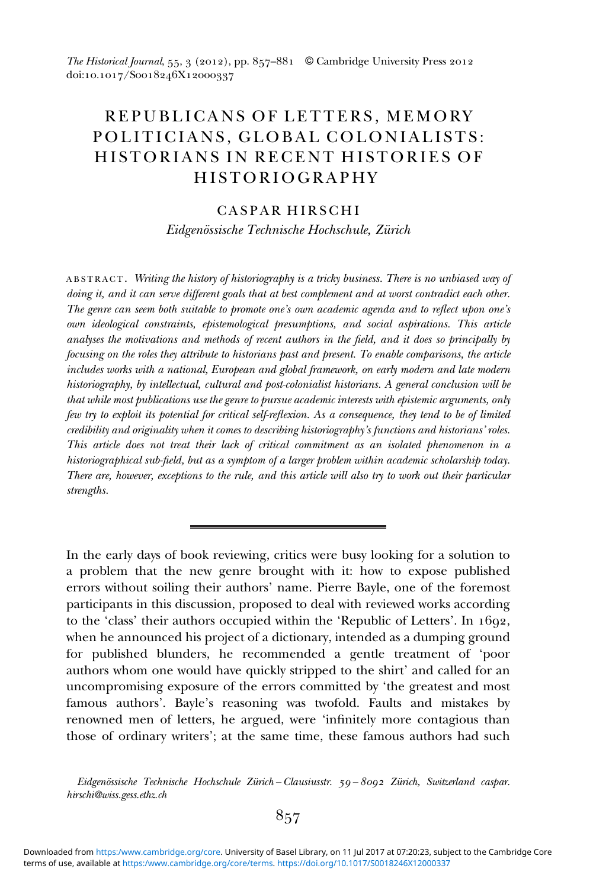The Historical Journal, 55, 3 (2012), pp. 857–881 © Cambridge University Press 2012 doi:10.1017/Soo18246X12000337

### REPUBLICANS OF LETTERS, MEMORY POLITICIANS, GLOBAL COLONIALISTS: HISTORIANS IN RECENT HISTORIES OF HISTORIOGRAPHY

#### CASPAR HIRSCHI

Eidgenössische Technische Hochschule, Zürich

ABSTRACT . Writing the history of historiography is a tricky business. There is no unbiased way of doing it, and it can serve different goals that at best complement and at worst contradict each other. The genre can seem both suitable to promote one's own academic agenda and to reflect upon one's own ideological constraints, epistemological presumptions, and social aspirations. This article analyses the motivations and methods of recent authors in the field, and it does so principally by focusing on the roles they attribute to historians past and present. To enable comparisons, the article includes works with a national, European and global framework, on early modern and late modern historiography, by intellectual, cultural and post-colonialist historians. A general conclusion will be that while most publications use the genre to pursue academic interests with epistemic arguments, only few try to exploit its potential for critical self-reflexion. As a consequence, they tend to be of limited credibility and originality when it comes to describing historiography's functions and historians' roles. This article does not treat their lack of critical commitment as an isolated phenomenon in a historiographical sub-field, but as a symptom of a larger problem within academic scholarship today. There are, however, exceptions to the rule, and this article will also try to work out their particular strengths.

In the early days of book reviewing, critics were busy looking for a solution to a problem that the new genre brought with it: how to expose published errors without soiling their authors' name. Pierre Bayle, one of the foremost participants in this discussion, proposed to deal with reviewed works according to the 'class' their authors occupied within the 'Republic of Letters'. In 1692, when he announced his project of a dictionary, intended as a dumping ground for published blunders, he recommended a gentle treatment of 'poor authors whom one would have quickly stripped to the shirt' and called for an uncompromising exposure of the errors committed by 'the greatest and most famous authors'. Bayle's reasoning was twofold. Faults and mistakes by renowned men of letters, he argued, were 'infinitely more contagious than those of ordinary writers'; at the same time, these famous authors had such

Eidgenössische Technische Hochschule Zürich-Clausiusstr. 59–8092 Zürich, Switzerland caspar. hirschi@wiss.gess.ethz.ch

 $857$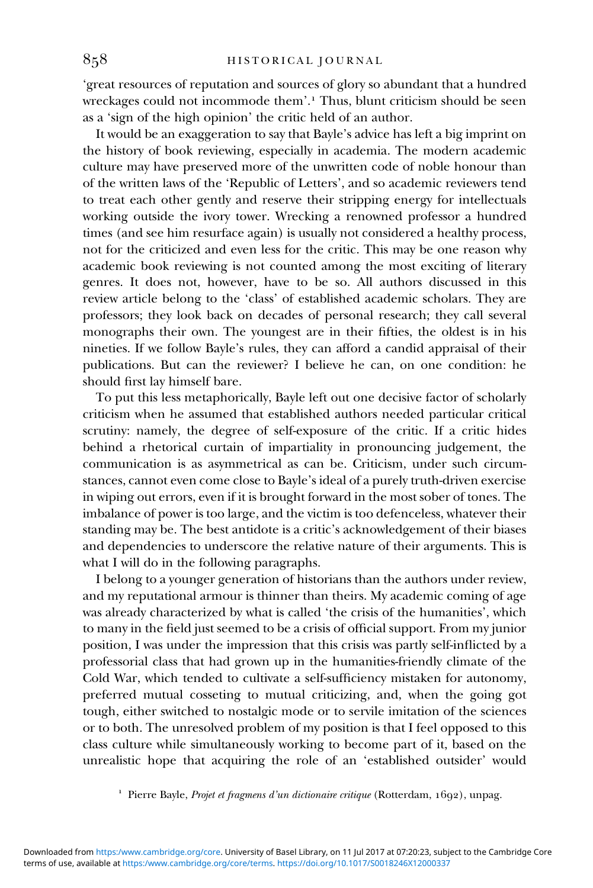'great resources of reputation and sources of glory so abundant that a hundred wreckages could not incommode them'. Thus, blunt criticism should be seen as a 'sign of the high opinion' the critic held of an author.

It would be an exaggeration to say that Bayle's advice has left a big imprint on the history of book reviewing, especially in academia. The modern academic culture may have preserved more of the unwritten code of noble honour than of the written laws of the 'Republic of Letters', and so academic reviewers tend to treat each other gently and reserve their stripping energy for intellectuals working outside the ivory tower. Wrecking a renowned professor a hundred times (and see him resurface again) is usually not considered a healthy process, not for the criticized and even less for the critic. This may be one reason why academic book reviewing is not counted among the most exciting of literary genres. It does not, however, have to be so. All authors discussed in this review article belong to the 'class' of established academic scholars. They are professors; they look back on decades of personal research; they call several monographs their own. The youngest are in their fifties, the oldest is in his nineties. If we follow Bayle's rules, they can afford a candid appraisal of their publications. But can the reviewer? I believe he can, on one condition: he should first lay himself bare.

To put this less metaphorically, Bayle left out one decisive factor of scholarly criticism when he assumed that established authors needed particular critical scrutiny: namely, the degree of self-exposure of the critic. If a critic hides behind a rhetorical curtain of impartiality in pronouncing judgement, the communication is as asymmetrical as can be. Criticism, under such circumstances, cannot even come close to Bayle's ideal of a purely truth-driven exercise in wiping out errors, even if it is brought forward in the most sober of tones. The imbalance of power is too large, and the victim is too defenceless, whatever their standing may be. The best antidote is a critic's acknowledgement of their biases and dependencies to underscore the relative nature of their arguments. This is what I will do in the following paragraphs.

I belong to a younger generation of historians than the authors under review, and my reputational armour is thinner than theirs. My academic coming of age was already characterized by what is called 'the crisis of the humanities', which to many in the field just seemed to be a crisis of official support. From my junior position, I was under the impression that this crisis was partly self-inflicted by a professorial class that had grown up in the humanities-friendly climate of the Cold War, which tended to cultivate a self-sufficiency mistaken for autonomy, preferred mutual cosseting to mutual criticizing, and, when the going got tough, either switched to nostalgic mode or to servile imitation of the sciences or to both. The unresolved problem of my position is that I feel opposed to this class culture while simultaneously working to become part of it, based on the unrealistic hope that acquiring the role of an 'established outsider' would

<sup>1</sup> Pierre Bayle, Projet et fragmens d'un dictionaire critique (Rotterdam, 1692), unpag.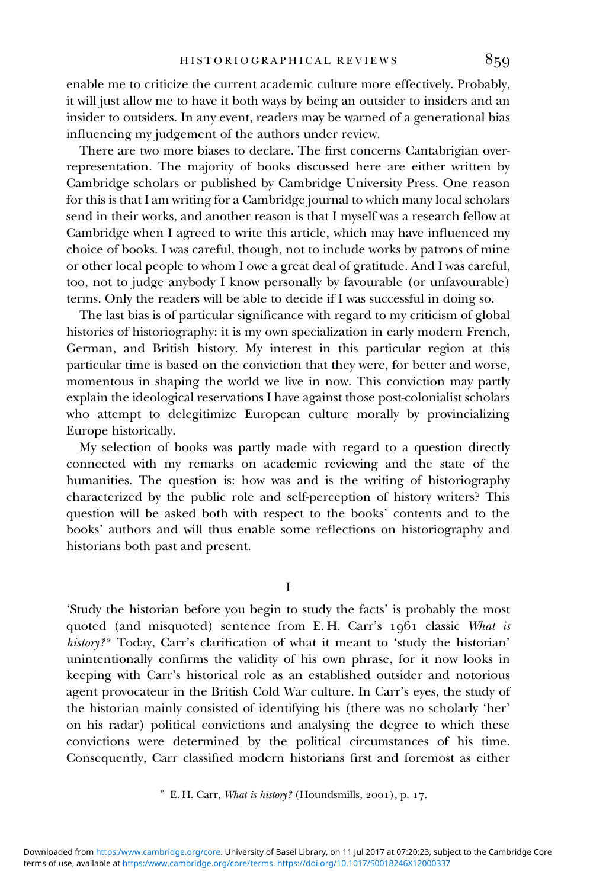enable me to criticize the current academic culture more effectively. Probably, it will just allow me to have it both ways by being an outsider to insiders and an insider to outsiders. In any event, readers may be warned of a generational bias influencing my judgement of the authors under review.

There are two more biases to declare. The first concerns Cantabrigian overrepresentation. The majority of books discussed here are either written by Cambridge scholars or published by Cambridge University Press. One reason for this is that I am writing for a Cambridge journal to which many local scholars send in their works, and another reason is that I myself was a research fellow at Cambridge when I agreed to write this article, which may have influenced my choice of books. I was careful, though, not to include works by patrons of mine or other local people to whom I owe a great deal of gratitude. And I was careful, too, not to judge anybody I know personally by favourable (or unfavourable) terms. Only the readers will be able to decide if I was successful in doing so.

The last bias is of particular significance with regard to my criticism of global histories of historiography: it is my own specialization in early modern French, German, and British history. My interest in this particular region at this particular time is based on the conviction that they were, for better and worse, momentous in shaping the world we live in now. This conviction may partly explain the ideological reservations I have against those post-colonialist scholars who attempt to delegitimize European culture morally by provincializing Europe historically.

My selection of books was partly made with regard to a question directly connected with my remarks on academic reviewing and the state of the humanities. The question is: how was and is the writing of historiography characterized by the public role and self-perception of history writers? This question will be asked both with respect to the books' contents and to the books' authors and will thus enable some reflections on historiography and historians both past and present.

I

'Study the historian before you begin to study the facts' is probably the most quoted (and misquoted) sentence from E.H. Carr's 1961 classic What is history?<sup>2</sup> Today, Carr's clarification of what it meant to 'study the historian' unintentionally confirms the validity of his own phrase, for it now looks in keeping with Carr's historical role as an established outsider and notorious agent provocateur in the British Cold War culture. In Carr's eyes, the study of the historian mainly consisted of identifying his (there was no scholarly 'her' on his radar) political convictions and analysing the degree to which these convictions were determined by the political circumstances of his time. Consequently, Carr classified modern historians first and foremost as either

 $E$ . H. Carr, What is history? (Houndsmills, 2001), p. 17.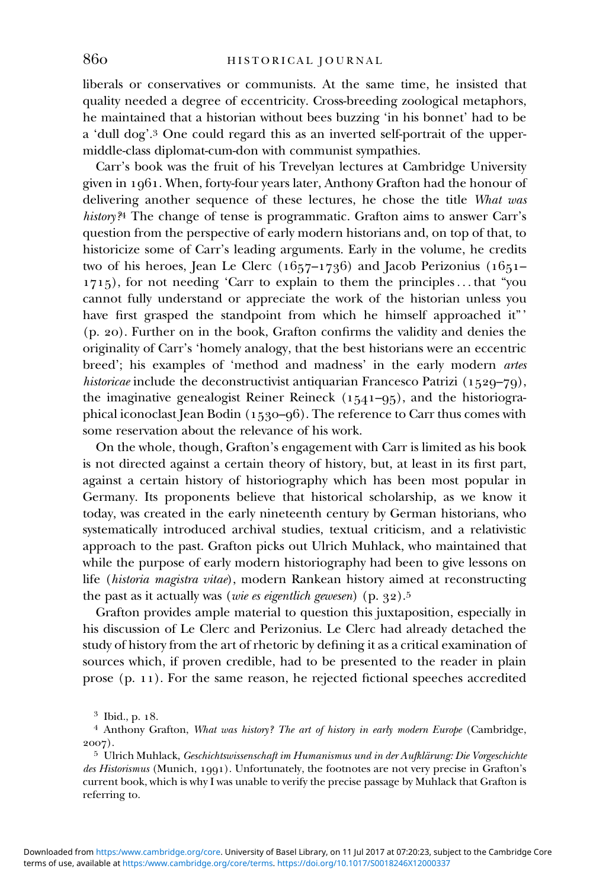liberals or conservatives or communists. At the same time, he insisted that quality needed a degree of eccentricity. Cross-breeding zoological metaphors, he maintained that a historian without bees buzzing 'in his bonnet' had to be a 'dull dog'. One could regard this as an inverted self-portrait of the uppermiddle-class diplomat-cum-don with communist sympathies.

Carr's book was the fruit of his Trevelyan lectures at Cambridge University given in 1961. When, forty-four years later, Anthony Grafton had the honour of delivering another sequence of these lectures, he chose the title What was history?<sup>4</sup> The change of tense is programmatic. Grafton aims to answer Carr's question from the perspective of early modern historians and, on top of that, to historicize some of Carr's leading arguments. Early in the volume, he credits two of his heroes, Jean Le Clerc ( $1657-1736$ ) and Jacob Perizonius ( $1651-$ ), for not needing 'Carr to explain to them the principles ... that "you cannot fully understand or appreciate the work of the historian unless you have first grasped the standpoint from which he himself approached it"' (p. ). Further on in the book, Grafton confirms the validity and denies the originality of Carr's 'homely analogy, that the best historians were an eccentric breed'; his examples of 'method and madness' in the early modern *artes* historicae include the deconstructivist antiquarian Francesco Patrizi (1520-70), the imaginative genealogist Reiner Reineck  $(1541-95)$ , and the historiographical iconoclast Jean Bodin (1530–96). The reference to Carr thus comes with some reservation about the relevance of his work.

On the whole, though, Grafton's engagement with Carr is limited as his book is not directed against a certain theory of history, but, at least in its first part, against a certain history of historiography which has been most popular in Germany. Its proponents believe that historical scholarship, as we know it today, was created in the early nineteenth century by German historians, who systematically introduced archival studies, textual criticism, and a relativistic approach to the past. Grafton picks out Ulrich Muhlack, who maintained that while the purpose of early modern historiography had been to give lessons on life (historia magistra vitae), modern Rankean history aimed at reconstructing the past as it actually was (*wie es eigentlich gewesen*) (p.  $32$ ).<sup>5</sup>

Grafton provides ample material to question this juxtaposition, especially in his discussion of Le Clerc and Perizonius. Le Clerc had already detached the study of history from the art of rhetoric by defining it as a critical examination of sources which, if proven credible, had to be presented to the reader in plain prose (p. 11). For the same reason, he rejected fictional speeches accredited

<sup>&</sup>lt;sup>3</sup> Ibid., p. 18.<br><sup>4</sup> Anthony Grafton, *What was history? The art of history in early modern Europe* (Cambridge, 2007).<br><sup>5</sup> Ulrich Muhlack, *Geschichtswissenschaft im Humanismus und in der Aufklärung: Die Vorgeschichte* 

des Historismus (Munich, 1991). Unfortunately, the footnotes are not very precise in Grafton's current book, which is why I was unable to verify the precise passage by Muhlack that Grafton is referring to.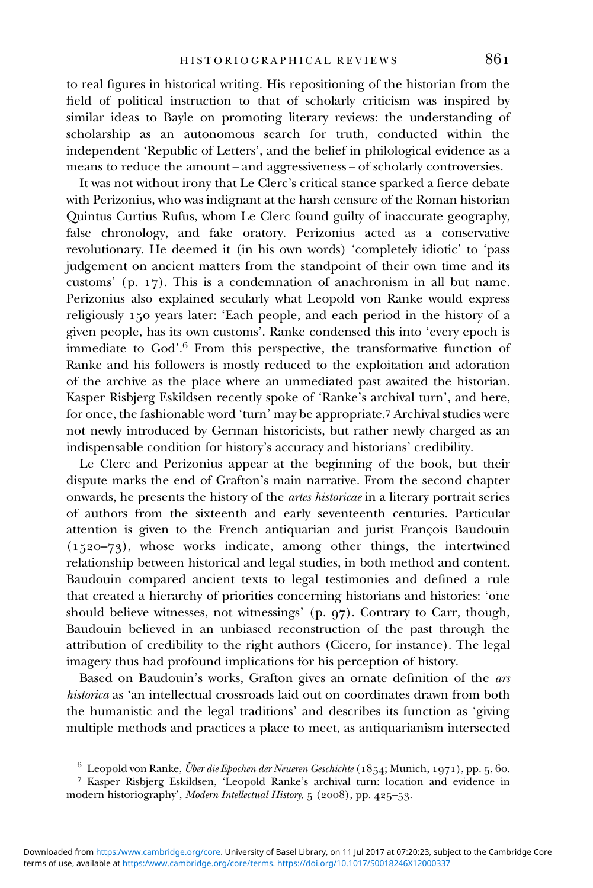to real figures in historical writing. His repositioning of the historian from the field of political instruction to that of scholarly criticism was inspired by similar ideas to Bayle on promoting literary reviews: the understanding of scholarship as an autonomous search for truth, conducted within the independent 'Republic of Letters', and the belief in philological evidence as a means to reduce the amount – and aggressiveness – of scholarly controversies.

It was not without irony that Le Clerc's critical stance sparked a fierce debate with Perizonius, who was indignant at the harsh censure of the Roman historian Quintus Curtius Rufus, whom Le Clerc found guilty of inaccurate geography, false chronology, and fake oratory. Perizonius acted as a conservative revolutionary. He deemed it (in his own words) 'completely idiotic' to 'pass judgement on ancient matters from the standpoint of their own time and its customs' (p. 17). This is a condemnation of anachronism in all but name. Perizonius also explained secularly what Leopold von Ranke would express religiously 150 years later: 'Each people, and each period in the history of a given people, has its own customs'. Ranke condensed this into 'every epoch is immediate to God'.<sup>6</sup> From this perspective, the transformative function of Ranke and his followers is mostly reduced to the exploitation and adoration of the archive as the place where an unmediated past awaited the historian. Kasper Risbjerg Eskildsen recently spoke of 'Ranke's archival turn', and here, for once, the fashionable word 'turn' may be appropriate.<sup>7</sup> Archival studies were not newly introduced by German historicists, but rather newly charged as an indispensable condition for history's accuracy and historians' credibility.

Le Clerc and Perizonius appear at the beginning of the book, but their dispute marks the end of Grafton's main narrative. From the second chapter onwards, he presents the history of the artes historicae in a literary portrait series of authors from the sixteenth and early seventeenth centuries. Particular attention is given to the French antiquarian and jurist François Baudouin  $(1520-73)$ , whose works indicate, among other things, the intertwined relationship between historical and legal studies, in both method and content. Baudouin compared ancient texts to legal testimonies and defined a rule that created a hierarchy of priorities concerning historians and histories: 'one should believe witnesses, not witnessings' (p.  $97$ ). Contrary to Carr, though, Baudouin believed in an unbiased reconstruction of the past through the attribution of credibility to the right authors (Cicero, for instance). The legal imagery thus had profound implications for his perception of history.

Based on Baudouin's works, Grafton gives an ornate definition of the *ars* historica as 'an intellectual crossroads laid out on coordinates drawn from both the humanistic and the legal traditions' and describes its function as 'giving multiple methods and practices a place to meet, as antiquarianism intersected

<sup>&</sup>lt;sup>6</sup> Leopold von Ranke, Über die Epochen der Neueren Geschichte (1854; Munich, 1971), pp. 5, 60.<br><sup>7</sup> Kasper Risbjerg Eskildsen, 'Leopold Ranke's archival turn: location and evidence in modern historiography', Modern Intellectual History, 5 (2008), pp. 425-53.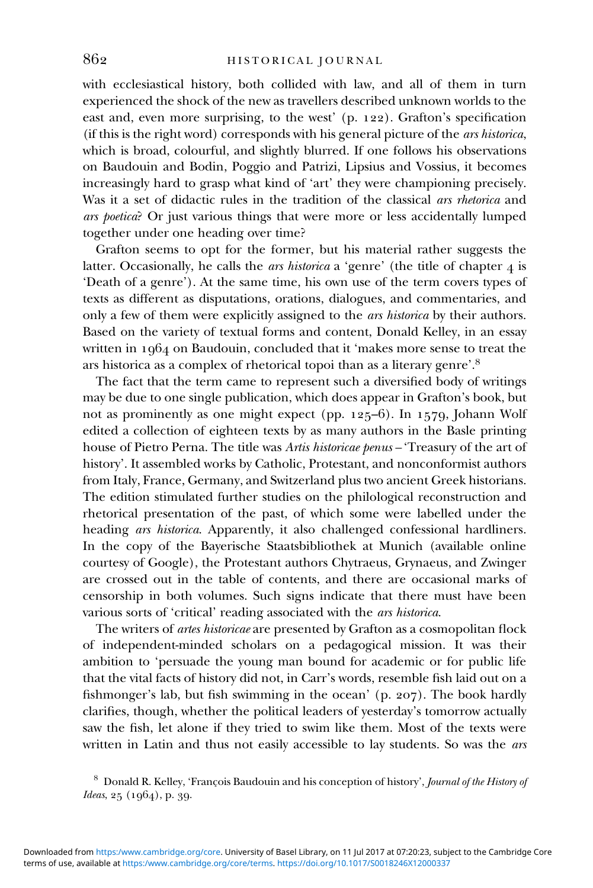with ecclesiastical history, both collided with law, and all of them in turn experienced the shock of the new as travellers described unknown worlds to the east and, even more surprising, to the west' (p. 122). Grafton's specification (if this is the right word) corresponds with his general picture of the ars historica, which is broad, colourful, and slightly blurred. If one follows his observations on Baudouin and Bodin, Poggio and Patrizi, Lipsius and Vossius, it becomes increasingly hard to grasp what kind of 'art' they were championing precisely. Was it a set of didactic rules in the tradition of the classical ars rhetorica and ars poetica? Or just various things that were more or less accidentally lumped together under one heading over time?

Grafton seems to opt for the former, but his material rather suggests the latter. Occasionally, he calls the *ars historica* a 'genre' (the title of chapter  $4$  is 'Death of a genre'). At the same time, his own use of the term covers types of texts as different as disputations, orations, dialogues, and commentaries, and only a few of them were explicitly assigned to the ars historica by their authors. Based on the variety of textual forms and content, Donald Kelley, in an essay written in  $1064$  on Baudouin, concluded that it 'makes more sense to treat the ars historica as a complex of rhetorical topoi than as a literary genre'.

The fact that the term came to represent such a diversified body of writings may be due to one single publication, which does appear in Grafton's book, but not as prominently as one might expect (pp.  $125-6$ ). In  $1579$ , Johann Wolf edited a collection of eighteen texts by as many authors in the Basle printing house of Pietro Perna. The title was Artis historicae penus – 'Treasury of the art of history'. It assembled works by Catholic, Protestant, and nonconformist authors from Italy, France, Germany, and Switzerland plus two ancient Greek historians. The edition stimulated further studies on the philological reconstruction and rhetorical presentation of the past, of which some were labelled under the heading ars historica. Apparently, it also challenged confessional hardliners. In the copy of the Bayerische Staatsbibliothek at Munich (available online courtesy of Google), the Protestant authors Chytraeus, Grynaeus, and Zwinger are crossed out in the table of contents, and there are occasional marks of censorship in both volumes. Such signs indicate that there must have been various sorts of 'critical' reading associated with the ars historica.

The writers of artes historicae are presented by Grafton as a cosmopolitan flock of independent-minded scholars on a pedagogical mission. It was their ambition to 'persuade the young man bound for academic or for public life that the vital facts of history did not, in Carr's words, resemble fish laid out on a fishmonger's lab, but fish swimming in the ocean' (p. 207). The book hardly clarifies, though, whether the political leaders of yesterday's tomorrow actually saw the fish, let alone if they tried to swim like them. Most of the texts were written in Latin and thus not easily accessible to lay students. So was the ars

<sup>&</sup>lt;sup>8</sup> Donald R. Kelley, 'François Baudouin and his conception of history', Journal of the History of  $Ideas, 25$   $(1964)$ , p. 39.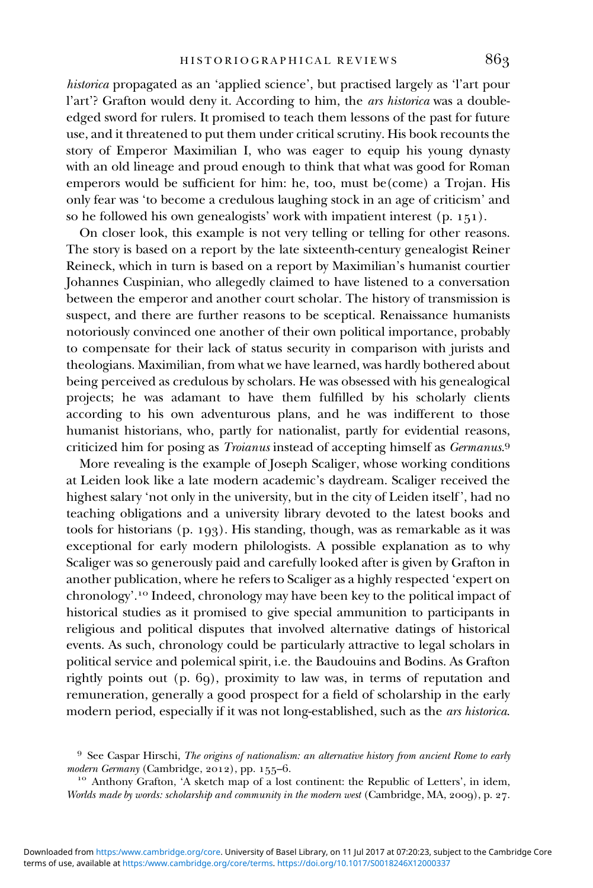historica propagated as an 'applied science', but practised largely as 'l'art pour l'art'? Grafton would deny it. According to him, the ars historica was a doubleedged sword for rulers. It promised to teach them lessons of the past for future use, and it threatened to put them under critical scrutiny. His book recounts the story of Emperor Maximilian I, who was eager to equip his young dynasty with an old lineage and proud enough to think that what was good for Roman emperors would be sufficient for him: he, too, must be(come) a Trojan. His only fear was 'to become a credulous laughing stock in an age of criticism' and so he followed his own genealogists' work with impatient interest  $(p. 151)$ .

On closer look, this example is not very telling or telling for other reasons. The story is based on a report by the late sixteenth-century genealogist Reiner Reineck, which in turn is based on a report by Maximilian's humanist courtier Johannes Cuspinian, who allegedly claimed to have listened to a conversation between the emperor and another court scholar. The history of transmission is suspect, and there are further reasons to be sceptical. Renaissance humanists notoriously convinced one another of their own political importance, probably to compensate for their lack of status security in comparison with jurists and theologians. Maximilian, from what we have learned, was hardly bothered about being perceived as credulous by scholars. He was obsessed with his genealogical projects; he was adamant to have them fulfilled by his scholarly clients according to his own adventurous plans, and he was indifferent to those humanist historians, who, partly for nationalist, partly for evidential reasons, criticized him for posing as Troianus instead of accepting himself as Germanus.<sup>9</sup>

More revealing is the example of Joseph Scaliger, whose working conditions at Leiden look like a late modern academic's daydream. Scaliger received the highest salary 'not only in the university, but in the city of Leiden itself', had no teaching obligations and a university library devoted to the latest books and tools for historians (p. 193). His standing, though, was as remarkable as it was exceptional for early modern philologists. A possible explanation as to why Scaliger was so generously paid and carefully looked after is given by Grafton in another publication, where he refers to Scaliger as a highly respected 'expert on chronology'. Indeed, chronology may have been key to the political impact of historical studies as it promised to give special ammunition to participants in religious and political disputes that involved alternative datings of historical events. As such, chronology could be particularly attractive to legal scholars in political service and polemical spirit, i.e. the Baudouins and Bodins. As Grafton rightly points out  $(p. 69)$ , proximity to law was, in terms of reputation and remuneration, generally a good prospect for a field of scholarship in the early modern period, especially if it was not long-established, such as the ars historica.

 $9$  See Caspar Hirschi, The origins of nationalism: an alternative history from ancient Rome to early

modern Germany (Cambridge, 2012), pp. 155–6.<br><sup>10</sup> Anthony Grafton, 'A sketch map of a lost continent: the Republic of Letters', in idem, Worlds made by words: scholarship and community in the modern west (Cambridge, MA, 2009), p. 27.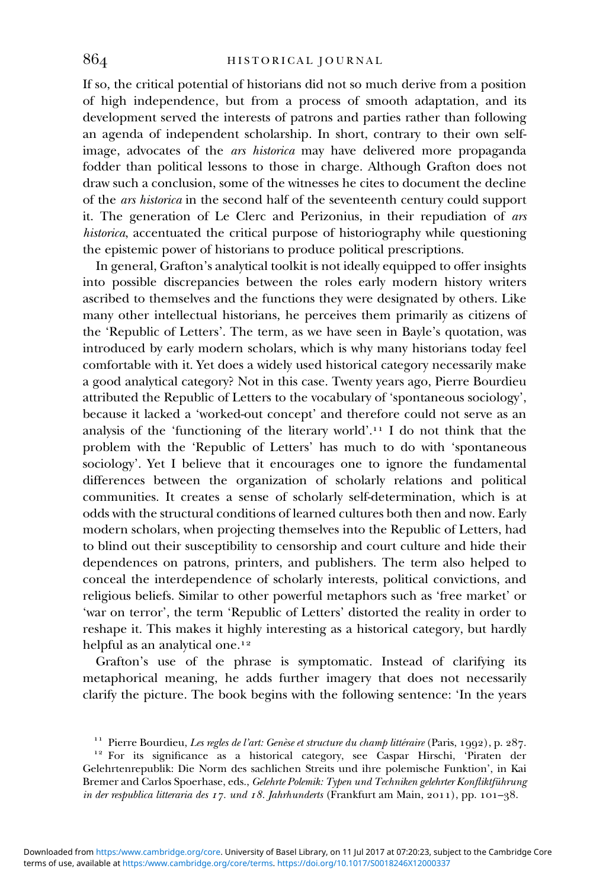If so, the critical potential of historians did not so much derive from a position of high independence, but from a process of smooth adaptation, and its development served the interests of patrons and parties rather than following an agenda of independent scholarship. In short, contrary to their own selfimage, advocates of the ars historica may have delivered more propaganda fodder than political lessons to those in charge. Although Grafton does not draw such a conclusion, some of the witnesses he cites to document the decline of the ars historica in the second half of the seventeenth century could support it. The generation of Le Clerc and Perizonius, in their repudiation of ars historica, accentuated the critical purpose of historiography while questioning the epistemic power of historians to produce political prescriptions.

In general, Grafton's analytical toolkit is not ideally equipped to offer insights into possible discrepancies between the roles early modern history writers ascribed to themselves and the functions they were designated by others. Like many other intellectual historians, he perceives them primarily as citizens of the 'Republic of Letters'. The term, as we have seen in Bayle's quotation, was introduced by early modern scholars, which is why many historians today feel comfortable with it. Yet does a widely used historical category necessarily make a good analytical category? Not in this case. Twenty years ago, Pierre Bourdieu attributed the Republic of Letters to the vocabulary of 'spontaneous sociology', because it lacked a 'worked-out concept' and therefore could not serve as an analysis of the 'functioning of the literary world'. I do not think that the problem with the 'Republic of Letters' has much to do with 'spontaneous sociology'. Yet I believe that it encourages one to ignore the fundamental differences between the organization of scholarly relations and political communities. It creates a sense of scholarly self-determination, which is at odds with the structural conditions of learned cultures both then and now. Early modern scholars, when projecting themselves into the Republic of Letters, had to blind out their susceptibility to censorship and court culture and hide their dependences on patrons, printers, and publishers. The term also helped to conceal the interdependence of scholarly interests, political convictions, and religious beliefs. Similar to other powerful metaphors such as 'free market' or 'war on terror', the term 'Republic of Letters' distorted the reality in order to reshape it. This makes it highly interesting as a historical category, but hardly helpful as an analytical one.<sup>12</sup>

Grafton's use of the phrase is symptomatic. Instead of clarifying its metaphorical meaning, he adds further imagery that does not necessarily clarify the picture. The book begins with the following sentence: 'In the years

<sup>&</sup>lt;sup>11</sup> Pierre Bourdieu, *Les regles de l'art: Genèse et structure du champ littéraire* (Paris, 1992), p. 287.<br><sup>12</sup> For its significance as a historical category, see Caspar Hirschi, 'Piraten der Gelehrtenrepublik: Die Norm des sachlichen Streits und ihre polemische Funktion', in Kai Bremer and Carlos Spoerhase, eds., Gelehrte Polemik: Typen und Techniken gelehrter Konfliktführung in der respublica litteraria des 17. und 18. Jahrhunderts (Frankfurt am Main, 2011), pp. 101-38.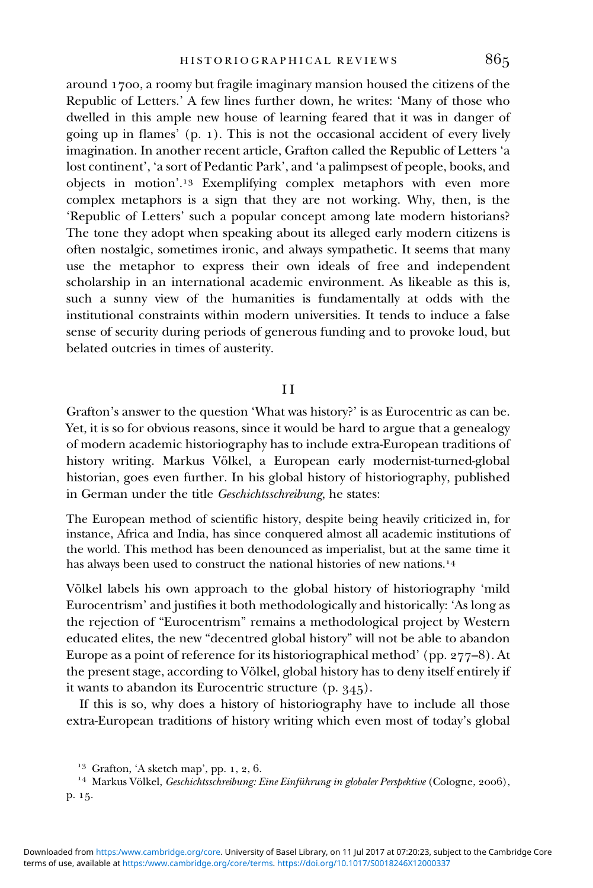around 1700, a roomy but fragile imaginary mansion housed the citizens of the Republic of Letters.' A few lines further down, he writes: 'Many of those who dwelled in this ample new house of learning feared that it was in danger of going up in flames'  $(p, 1)$ . This is not the occasional accident of every lively imagination. In another recent article, Grafton called the Republic of Letters 'a lost continent', 'a sort of Pedantic Park', and 'a palimpsest of people, books, and objects in motion'. Exemplifying complex metaphors with even more complex metaphors is a sign that they are not working. Why, then, is the 'Republic of Letters' such a popular concept among late modern historians? The tone they adopt when speaking about its alleged early modern citizens is often nostalgic, sometimes ironic, and always sympathetic. It seems that many use the metaphor to express their own ideals of free and independent scholarship in an international academic environment. As likeable as this is, such a sunny view of the humanities is fundamentally at odds with the institutional constraints within modern universities. It tends to induce a false sense of security during periods of generous funding and to provoke loud, but belated outcries in times of austerity.

#### I I

Grafton's answer to the question 'What was history?' is as Eurocentric as can be. Yet, it is so for obvious reasons, since it would be hard to argue that a genealogy of modern academic historiography has to include extra-European traditions of history writing. Markus Völkel, a European early modernist-turned-global historian, goes even further. In his global history of historiography, published in German under the title Geschichtsschreibung, he states:

The European method of scientific history, despite being heavily criticized in, for instance, Africa and India, has since conquered almost all academic institutions of the world. This method has been denounced as imperialist, but at the same time it has always been used to construct the national histories of new nations.<sup>14</sup>

Völkel labels his own approach to the global history of historiography 'mild Eurocentrism' and justifies it both methodologically and historically: 'As long as the rejection of "Eurocentrism" remains a methodological project by Western educated elites, the new "decentred global history" will not be able to abandon Europe as a point of reference for its historiographical method' (pp. 277-8). At the present stage, according to Völkel, global history has to deny itself entirely if it wants to abandon its Eurocentric structure  $(p. 345)$ .

If this is so, why does a history of historiography have to include all those extra-European traditions of history writing which even most of today's global

<sup>13</sup> Grafton, 'A sketch map', pp. 1, 2, 6.<br><sup>14</sup> Markus Völkel, *Geschichtsschreibung: Eine Einführung in globaler Perspektive* (Cologne, 2006), p. 15.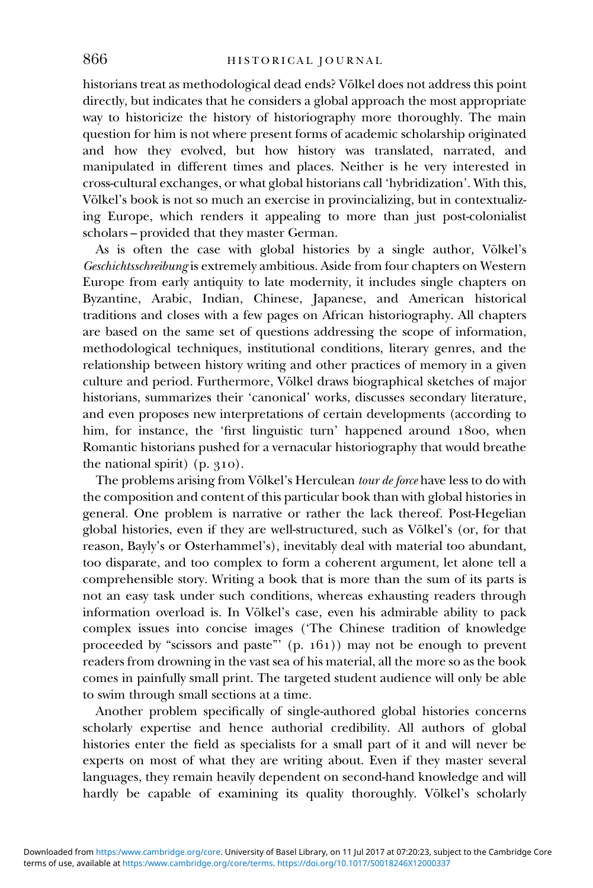historians treat as methodological dead ends? Völkel does not address this point directly, but indicates that he considers a global approach the most appropriate way to historicize the history of historiography more thoroughly. The main question for him is not where present forms of academic scholarship originated and how they evolved, but how history was translated, narrated, and manipulated in different times and places. Neither is he very interested in cross-cultural exchanges, or what global historians call 'hybridization'. With this, Völkel's book is not so much an exercise in provincializing, but in contextualizing Europe, which renders it appealing to more than just post-colonialist scholars – provided that they master German.

As is often the case with global histories by a single author, Völkel's Geschichtsschreibung is extremely ambitious. Aside from four chapters on Western Europe from early antiquity to late modernity, it includes single chapters on Byzantine, Arabic, Indian, Chinese, Japanese, and American historical traditions and closes with a few pages on African historiography. All chapters are based on the same set of questions addressing the scope of information, methodological techniques, institutional conditions, literary genres, and the relationship between history writing and other practices of memory in a given culture and period. Furthermore, Völkel draws biographical sketches of major historians, summarizes their 'canonical' works, discusses secondary literature, and even proposes new interpretations of certain developments (according to him, for instance, the 'first linguistic turn' happened around 1800, when Romantic historians pushed for a vernacular historiography that would breathe the national spirit)  $(p. 310)$ .

The problems arising from Völkel's Herculean tour de force have less to do with the composition and content of this particular book than with global histories in general. One problem is narrative or rather the lack thereof. Post-Hegelian global histories, even if they are well-structured, such as Völkel's (or, for that reason, Bayly's or Osterhammel's), inevitably deal with material too abundant, too disparate, and too complex to form a coherent argument, let alone tell a comprehensible story. Writing a book that is more than the sum of its parts is not an easy task under such conditions, whereas exhausting readers through information overload is. In Völkel's case, even his admirable ability to pack complex issues into concise images ('The Chinese tradition of knowledge proceeded by "scissors and paste"'  $(p. 161)$ ) may not be enough to prevent readers from drowning in the vast sea of his material, all the more so as the book comes in painfully small print. The targeted student audience will only be able to swim through small sections at a time.

Another problem specifically of single-authored global histories concerns scholarly expertise and hence authorial credibility. All authors of global histories enter the field as specialists for a small part of it and will never be experts on most of what they are writing about. Even if they master several languages, they remain heavily dependent on second-hand knowledge and will hardly be capable of examining its quality thoroughly. Völkel's scholarly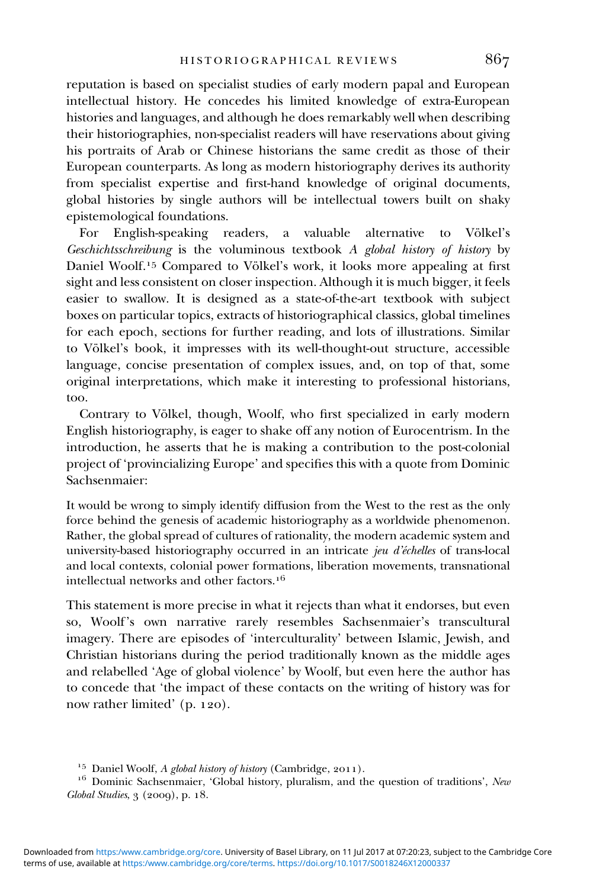reputation is based on specialist studies of early modern papal and European intellectual history. He concedes his limited knowledge of extra-European histories and languages, and although he does remarkably well when describing their historiographies, non-specialist readers will have reservations about giving his portraits of Arab or Chinese historians the same credit as those of their European counterparts. As long as modern historiography derives its authority from specialist expertise and first-hand knowledge of original documents, global histories by single authors will be intellectual towers built on shaky epistemological foundations.

For English-speaking readers, a valuable alternative to Völkel's Geschichtsschreibung is the voluminous textbook A global history of history by Daniel Woolf.<sup>15</sup> Compared to Völkel's work, it looks more appealing at first sight and less consistent on closer inspection. Although it is much bigger, it feels easier to swallow. It is designed as a state-of-the-art textbook with subject boxes on particular topics, extracts of historiographical classics, global timelines for each epoch, sections for further reading, and lots of illustrations. Similar to Völkel's book, it impresses with its well-thought-out structure, accessible language, concise presentation of complex issues, and, on top of that, some original interpretations, which make it interesting to professional historians, too.

Contrary to Völkel, though, Woolf, who first specialized in early modern English historiography, is eager to shake off any notion of Eurocentrism. In the introduction, he asserts that he is making a contribution to the post-colonial project of 'provincializing Europe' and specifies this with a quote from Dominic Sachsenmaier:

It would be wrong to simply identify diffusion from the West to the rest as the only force behind the genesis of academic historiography as a worldwide phenomenon. Rather, the global spread of cultures of rationality, the modern academic system and university-based historiography occurred in an intricate jeu d'échelles of trans-local and local contexts, colonial power formations, liberation movements, transnational intellectual networks and other factors.

This statement is more precise in what it rejects than what it endorses, but even so, Woolf's own narrative rarely resembles Sachsenmaier's transcultural imagery. There are episodes of 'interculturality' between Islamic, Jewish, and Christian historians during the period traditionally known as the middle ages and relabelled 'Age of global violence' by Woolf, but even here the author has to concede that 'the impact of these contacts on the writing of history was for now rather limited' (p. 120).

<sup>&</sup>lt;sup>15</sup> Daniel Woolf, *A global history of history* (Cambridge, 2011). <sup>16</sup> Dominic Sachsenmaier, 'Global history, pluralism, and the question of traditions', *New*  $Global Studies, 3 (2009), p. 18.$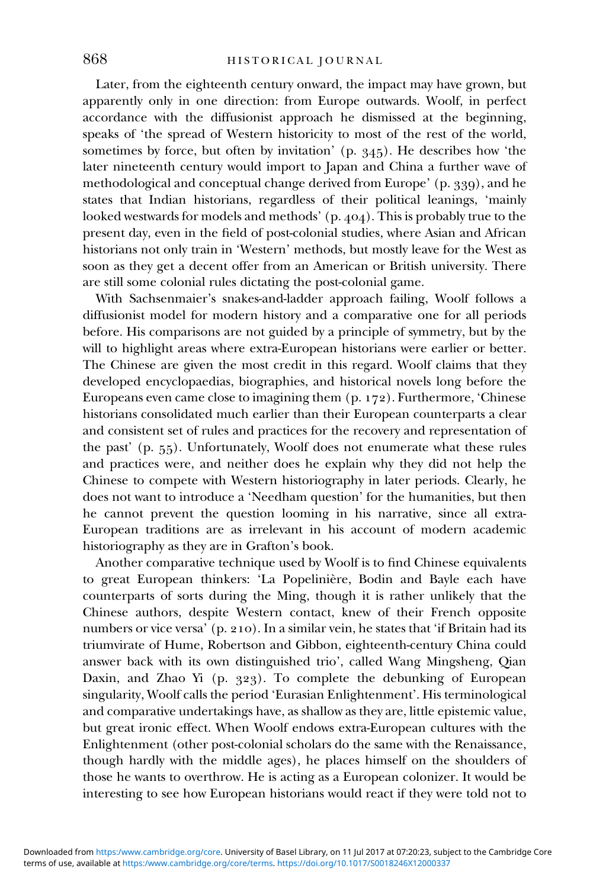Later, from the eighteenth century onward, the impact may have grown, but apparently only in one direction: from Europe outwards. Woolf, in perfect accordance with the diffusionist approach he dismissed at the beginning, speaks of 'the spread of Western historicity to most of the rest of the world, sometimes by force, but often by invitation'  $(p, 345)$ . He describes how 'the later nineteenth century would import to Japan and China a further wave of methodological and conceptual change derived from Europe'  $(p, q39)$ , and he states that Indian historians, regardless of their political leanings, 'mainly looked westwards for models and methods' (p. 404). This is probably true to the present day, even in the field of post-colonial studies, where Asian and African historians not only train in 'Western' methods, but mostly leave for the West as soon as they get a decent offer from an American or British university. There are still some colonial rules dictating the post-colonial game.

With Sachsenmaier's snakes-and-ladder approach failing, Woolf follows a diffusionist model for modern history and a comparative one for all periods before. His comparisons are not guided by a principle of symmetry, but by the will to highlight areas where extra-European historians were earlier or better. The Chinese are given the most credit in this regard. Woolf claims that they developed encyclopaedias, biographies, and historical novels long before the Europeans even came close to imagining them  $(p. 172)$ . Furthermore, 'Chinese' historians consolidated much earlier than their European counterparts a clear and consistent set of rules and practices for the recovery and representation of the past' (p. 55). Unfortunately, Woolf does not enumerate what these rules and practices were, and neither does he explain why they did not help the Chinese to compete with Western historiography in later periods. Clearly, he does not want to introduce a 'Needham question' for the humanities, but then he cannot prevent the question looming in his narrative, since all extra-European traditions are as irrelevant in his account of modern academic historiography as they are in Grafton's book.

Another comparative technique used by Woolf is to find Chinese equivalents to great European thinkers: 'La Popelinière, Bodin and Bayle each have counterparts of sorts during the Ming, though it is rather unlikely that the Chinese authors, despite Western contact, knew of their French opposite numbers or vice versa' (p. 210). In a similar vein, he states that 'if Britain had its triumvirate of Hume, Robertson and Gibbon, eighteenth-century China could answer back with its own distinguished trio', called Wang Mingsheng, Qian Daxin, and Zhao Yi (p.  $323$ ). To complete the debunking of European singularity, Woolf calls the period 'Eurasian Enlightenment'. His terminological and comparative undertakings have, as shallow as they are, little epistemic value, but great ironic effect. When Woolf endows extra-European cultures with the Enlightenment (other post-colonial scholars do the same with the Renaissance, though hardly with the middle ages), he places himself on the shoulders of those he wants to overthrow. He is acting as a European colonizer. It would be interesting to see how European historians would react if they were told not to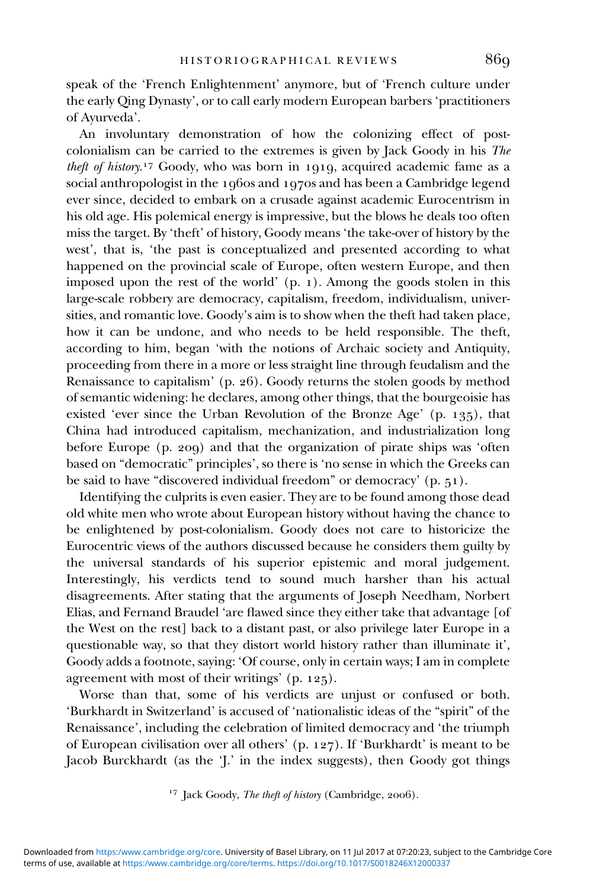speak of the 'French Enlightenment' anymore, but of 'French culture under the early Qing Dynasty', or to call early modern European barbers 'practitioners of Ayurveda'.

An involuntary demonstration of how the colonizing effect of postcolonialism can be carried to the extremes is given by Jack Goody in his The theft of history.<sup>17</sup> Goody, who was born in 1919, acquired academic fame as a social anthropologist in the 1960s and 1970s and has been a Cambridge legend ever since, decided to embark on a crusade against academic Eurocentrism in his old age. His polemical energy is impressive, but the blows he deals too often miss the target. By 'theft' of history, Goody means 'the take-over of history by the west', that is, 'the past is conceptualized and presented according to what happened on the provincial scale of Europe, often western Europe, and then imposed upon the rest of the world' (p. 1). Among the goods stolen in this large-scale robbery are democracy, capitalism, freedom, individualism, universities, and romantic love. Goody's aim is to show when the theft had taken place, how it can be undone, and who needs to be held responsible. The theft, according to him, began 'with the notions of Archaic society and Antiquity, proceeding from there in a more or less straight line through feudalism and the Renaissance to capitalism' (p. 26). Goody returns the stolen goods by method of semantic widening: he declares, among other things, that the bourgeoisie has existed 'ever since the Urban Revolution of the Bronze Age' (p. 135), that China had introduced capitalism, mechanization, and industrialization long before Europe  $(p. 209)$  and that the organization of pirate ships was 'often based on "democratic" principles', so there is 'no sense in which the Greeks can be said to have "discovered individual freedom" or democracy'  $(p, 51)$ .

Identifying the culprits is even easier. They are to be found among those dead old white men who wrote about European history without having the chance to be enlightened by post-colonialism. Goody does not care to historicize the Eurocentric views of the authors discussed because he considers them guilty by the universal standards of his superior epistemic and moral judgement. Interestingly, his verdicts tend to sound much harsher than his actual disagreements. After stating that the arguments of Joseph Needham, Norbert Elias, and Fernand Braudel 'are flawed since they either take that advantage [of the West on the rest] back to a distant past, or also privilege later Europe in a questionable way, so that they distort world history rather than illuminate it', Goody adds a footnote, saying: 'Of course, only in certain ways; I am in complete agreement with most of their writings'  $(p. 125)$ .

Worse than that, some of his verdicts are unjust or confused or both. 'Burkhardt in Switzerland' is accused of 'nationalistic ideas of the "spirit" of the Renaissance', including the celebration of limited democracy and 'the triumph of European civilisation over all others' (p. 127). If 'Burkhardt' is meant to be Jacob Burckhardt (as the 'J.' in the index suggests), then Goody got things

 $17$  Jack Goody, The theft of history (Cambridge, 2006).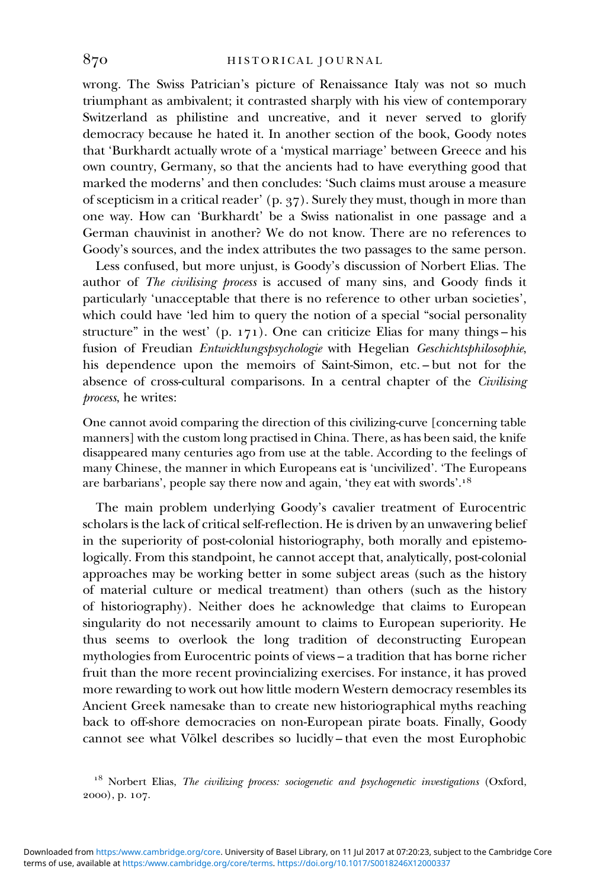wrong. The Swiss Patrician's picture of Renaissance Italy was not so much triumphant as ambivalent; it contrasted sharply with his view of contemporary Switzerland as philistine and uncreative, and it never served to glorify democracy because he hated it. In another section of the book, Goody notes that 'Burkhardt actually wrote of a 'mystical marriage' between Greece and his own country, Germany, so that the ancients had to have everything good that marked the moderns' and then concludes: 'Such claims must arouse a measure of scepticism in a critical reader'  $(p, 37)$ . Surely they must, though in more than one way. How can 'Burkhardt' be a Swiss nationalist in one passage and a German chauvinist in another? We do not know. There are no references to Goody's sources, and the index attributes the two passages to the same person.

Less confused, but more unjust, is Goody's discussion of Norbert Elias. The author of *The civilising process* is accused of many sins, and Goody finds it particularly 'unacceptable that there is no reference to other urban societies', which could have 'led him to query the notion of a special "social personality structure" in the west' (p. 171). One can criticize Elias for many things – his fusion of Freudian *Entwicklungspsychologie* with Hegelian *Geschichtsphilosophie*, his dependence upon the memoirs of Saint-Simon, etc. – but not for the absence of cross-cultural comparisons. In a central chapter of the *Civilising* process, he writes:

One cannot avoid comparing the direction of this civilizing-curve [concerning table manners] with the custom long practised in China. There, as has been said, the knife disappeared many centuries ago from use at the table. According to the feelings of many Chinese, the manner in which Europeans eat is 'uncivilized'. 'The Europeans are barbarians', people say there now and again, 'they eat with swords'.<sup>18</sup>

The main problem underlying Goody's cavalier treatment of Eurocentric scholars is the lack of critical self-reflection. He is driven by an unwavering belief in the superiority of post-colonial historiography, both morally and epistemologically. From this standpoint, he cannot accept that, analytically, post-colonial approaches may be working better in some subject areas (such as the history of material culture or medical treatment) than others (such as the history of historiography). Neither does he acknowledge that claims to European singularity do not necessarily amount to claims to European superiority. He thus seems to overlook the long tradition of deconstructing European mythologies from Eurocentric points of views – a tradition that has borne richer fruit than the more recent provincializing exercises. For instance, it has proved more rewarding to work out how little modern Western democracy resembles its Ancient Greek namesake than to create new historiographical myths reaching back to off-shore democracies on non-European pirate boats. Finally, Goody cannot see what Völkel describes so lucidly – that even the most Europhobic

 $18$  Norbert Elias, The civilizing process: sociogenetic and psychogenetic investigations (Oxford, 2000), p. 107.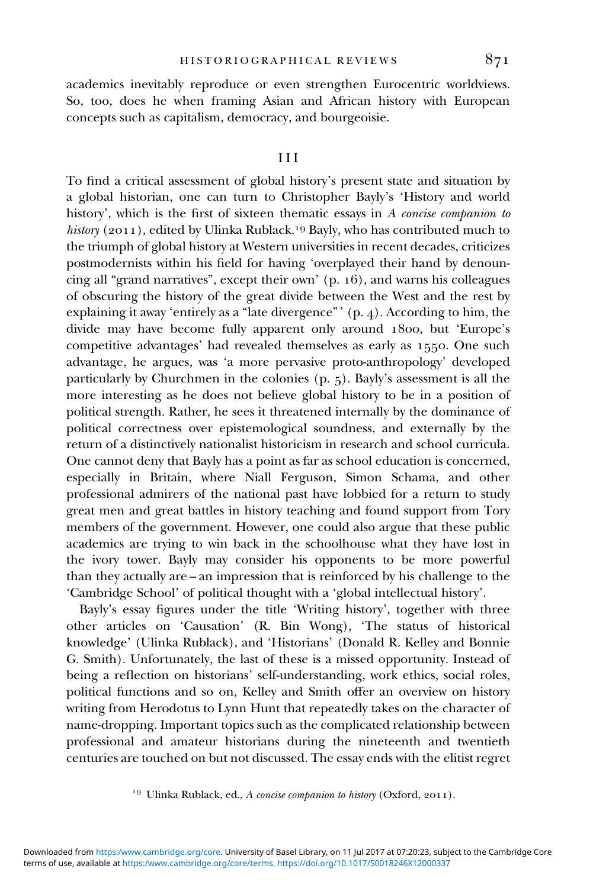academics inevitably reproduce or even strengthen Eurocentric worldviews. So, too, does he when framing Asian and African history with European concepts such as capitalism, democracy, and bourgeoisie.

#### III

To find a critical assessment of global history's present state and situation by a global historian, one can turn to Christopher Bayly's 'History and world history', which is the first of sixteen thematic essays in A concise companion to history (2011), edited by Ulinka Rublack.<sup>19</sup> Bayly, who has contributed much to the triumph of global history at Western universities in recent decades, criticizes postmodernists within his field for having 'overplayed their hand by denouncing all "grand narratives", except their own'  $(p, 16)$ , and warns his colleagues of obscuring the history of the great divide between the West and the rest by explaining it away 'entirely as a "late divergence"'  $(p, 4)$ . According to him, the divide may have become fully apparent only around 1800, but 'Europe's competitive advantages' had revealed themselves as early as  $1550$ . One such advantage, he argues, was 'a more pervasive proto-anthropology' developed particularly by Churchmen in the colonies  $(p, 5)$ . Bayly's assessment is all the more interesting as he does not believe global history to be in a position of political strength. Rather, he sees it threatened internally by the dominance of political correctness over epistemological soundness, and externally by the return of a distinctively nationalist historicism in research and school curricula. One cannot deny that Bayly has a point as far as school education is concerned, especially in Britain, where Niall Ferguson, Simon Schama, and other professional admirers of the national past have lobbied for a return to study great men and great battles in history teaching and found support from Tory members of the government. However, one could also argue that these public academics are trying to win back in the schoolhouse what they have lost in the ivory tower. Bayly may consider his opponents to be more powerful than they actually are – an impression that is reinforced by his challenge to the 'Cambridge School' of political thought with a 'global intellectual history'.

Bayly's essay figures under the title 'Writing history', together with three other articles on 'Causation' (R. Bin Wong), 'The status of historical knowledge' (Ulinka Rublack), and 'Historians' (Donald R. Kelley and Bonnie G. Smith). Unfortunately, the last of these is a missed opportunity. Instead of being a reflection on historians' self-understanding, work ethics, social roles, political functions and so on, Kelley and Smith offer an overview on history writing from Herodotus to Lynn Hunt that repeatedly takes on the character of name-dropping. Important topics such as the complicated relationship between professional and amateur historians during the nineteenth and twentieth centuries are touched on but not discussed. The essay ends with the elitist regret

<sup>&</sup>lt;sup>19</sup> Ulinka Rublack, ed., A concise companion to history (Oxford, 2011).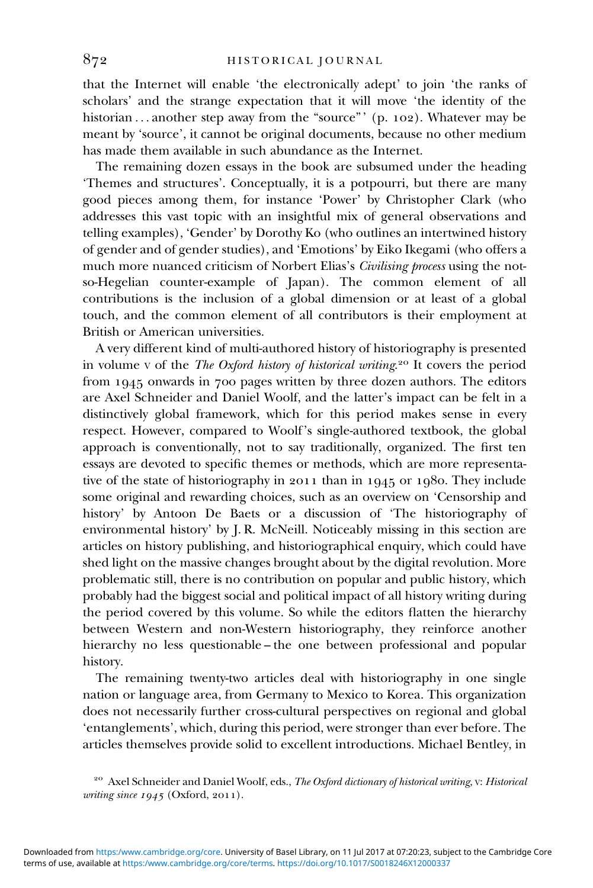that the Internet will enable 'the electronically adept' to join 'the ranks of scholars' and the strange expectation that it will move 'the identity of the historian  $\dots$  another step away from the "source"' (p. 102). Whatever may be meant by 'source', it cannot be original documents, because no other medium has made them available in such abundance as the Internet.

The remaining dozen essays in the book are subsumed under the heading 'Themes and structures'. Conceptually, it is a potpourri, but there are many good pieces among them, for instance 'Power' by Christopher Clark (who addresses this vast topic with an insightful mix of general observations and telling examples), 'Gender' by Dorothy Ko (who outlines an intertwined history of gender and of gender studies), and 'Emotions' by Eiko Ikegami (who offers a much more nuanced criticism of Norbert Elias's *Civilising process* using the notso-Hegelian counter-example of Japan). The common element of all contributions is the inclusion of a global dimension or at least of a global touch, and the common element of all contributors is their employment at British or American universities.

A very different kind of multi-authored history of historiography is presented in volume v of the The Oxford history of historical writing.<sup>20</sup> It covers the period from  $1945$  onwards in 700 pages written by three dozen authors. The editors are Axel Schneider and Daniel Woolf, and the latter's impact can be felt in a distinctively global framework, which for this period makes sense in every respect. However, compared to Woolf's single-authored textbook, the global approach is conventionally, not to say traditionally, organized. The first ten essays are devoted to specific themes or methods, which are more representative of the state of historiography in  $2011$  than in  $1945$  or  $1980$ . They include some original and rewarding choices, such as an overview on 'Censorship and history' by Antoon De Baets or a discussion of 'The historiography of environmental history' by J. R. McNeill. Noticeably missing in this section are articles on history publishing, and historiographical enquiry, which could have shed light on the massive changes brought about by the digital revolution. More problematic still, there is no contribution on popular and public history, which probably had the biggest social and political impact of all history writing during the period covered by this volume. So while the editors flatten the hierarchy between Western and non-Western historiography, they reinforce another hierarchy no less questionable – the one between professional and popular history.

The remaining twenty-two articles deal with historiography in one single nation or language area, from Germany to Mexico to Korea. This organization does not necessarily further cross-cultural perspectives on regional and global 'entanglements', which, during this period, were stronger than ever before. The articles themselves provide solid to excellent introductions. Michael Bentley, in

<sup>&</sup>lt;sup>20</sup> Axel Schneider and Daniel Woolf, eds., The Oxford dictionary of historical writing, v: Historical writing since  $1945$  (Oxford, 2011).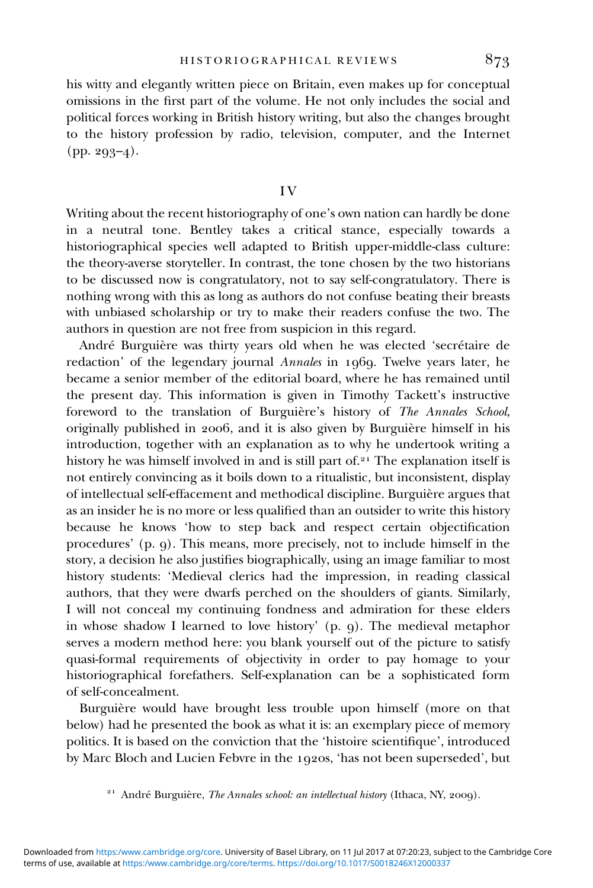his witty and elegantly written piece on Britain, even makes up for conceptual omissions in the first part of the volume. He not only includes the social and political forces working in British history writing, but also the changes brought to the history profession by radio, television, computer, and the Internet  $(pp. 293-4).$ 

#### I V

Writing about the recent historiography of one's own nation can hardly be done in a neutral tone. Bentley takes a critical stance, especially towards a historiographical species well adapted to British upper-middle-class culture: the theory-averse storyteller. In contrast, the tone chosen by the two historians to be discussed now is congratulatory, not to say self-congratulatory. There is nothing wrong with this as long as authors do not confuse beating their breasts with unbiased scholarship or try to make their readers confuse the two. The authors in question are not free from suspicion in this regard.

André Burguière was thirty years old when he was elected 'secrétaire de redaction' of the legendary journal Annales in 1969. Twelve years later, he became a senior member of the editorial board, where he has remained until the present day. This information is given in Timothy Tackett's instructive foreword to the translation of Burguière's history of The Annales School, originally published in 2006, and it is also given by Burguière himself in his introduction, together with an explanation as to why he undertook writing a history he was himself involved in and is still part of.<sup>21</sup> The explanation itself is not entirely convincing as it boils down to a ritualistic, but inconsistent, display of intellectual self-effacement and methodical discipline. Burguière argues that as an insider he is no more or less qualified than an outsider to write this history because he knows 'how to step back and respect certain objectification procedures' (p. 9). This means, more precisely, not to include himself in the story, a decision he also justifies biographically, using an image familiar to most history students: 'Medieval clerics had the impression, in reading classical authors, that they were dwarfs perched on the shoulders of giants. Similarly, I will not conceal my continuing fondness and admiration for these elders in whose shadow I learned to love history' (p. 9). The medieval metaphor serves a modern method here: you blank yourself out of the picture to satisfy quasi-formal requirements of objectivity in order to pay homage to your historiographical forefathers. Self-explanation can be a sophisticated form of self-concealment.

Burguière would have brought less trouble upon himself (more on that below) had he presented the book as what it is: an exemplary piece of memory politics. It is based on the conviction that the 'histoire scientifique', introduced by Marc Bloch and Lucien Febvre in the 1920s, 'has not been superseded', but

<sup>&</sup>lt;sup>21</sup> André Burguière, *The Annales school: an intellectual history* (Ithaca, NY, 2009).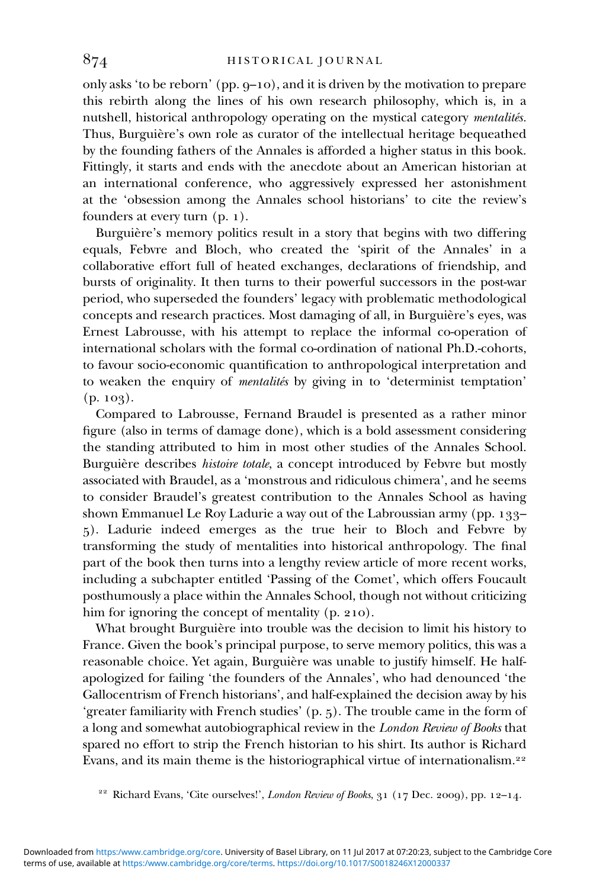only asks 'to be reborn' (pp.  $q-10$ ), and it is driven by the motivation to prepare this rebirth along the lines of his own research philosophy, which is, in a nutshell, historical anthropology operating on the mystical category mentalités. Thus, Burguière's own role as curator of the intellectual heritage bequeathed by the founding fathers of the Annales is afforded a higher status in this book. Fittingly, it starts and ends with the anecdote about an American historian at an international conference, who aggressively expressed her astonishment at the 'obsession among the Annales school historians' to cite the review's founders at every turn (p. 1).

Burguière's memory politics result in a story that begins with two differing equals, Febvre and Bloch, who created the 'spirit of the Annales' in a collaborative effort full of heated exchanges, declarations of friendship, and bursts of originality. It then turns to their powerful successors in the post-war period, who superseded the founders' legacy with problematic methodological concepts and research practices. Most damaging of all, in Burguière's eyes, was Ernest Labrousse, with his attempt to replace the informal co-operation of international scholars with the formal co-ordination of national Ph.D.-cohorts, to favour socio-economic quantification to anthropological interpretation and to weaken the enquiry of *mentalités* by giving in to 'determinist temptation'  $(p. 103).$ 

Compared to Labrousse, Fernand Braudel is presented as a rather minor figure (also in terms of damage done), which is a bold assessment considering the standing attributed to him in most other studies of the Annales School. Burguière describes *histoire totale*, a concept introduced by Febvre but mostly associated with Braudel, as a 'monstrous and ridiculous chimera', and he seems to consider Braudel's greatest contribution to the Annales School as having shown Emmanuel Le Roy Ladurie a way out of the Labroussian army (pp.  $133-$ ). Ladurie indeed emerges as the true heir to Bloch and Febvre by transforming the study of mentalities into historical anthropology. The final part of the book then turns into a lengthy review article of more recent works, including a subchapter entitled 'Passing of the Comet', which offers Foucault posthumously a place within the Annales School, though not without criticizing him for ignoring the concept of mentality  $(p. 210)$ .

What brought Burguière into trouble was the decision to limit his history to France. Given the book's principal purpose, to serve memory politics, this was a reasonable choice. Yet again, Burguière was unable to justify himself. He halfapologized for failing 'the founders of the Annales', who had denounced 'the Gallocentrism of French historians', and half-explained the decision away by his 'greater familiarity with French studies'  $(p, 5)$ . The trouble came in the form of a long and somewhat autobiographical review in the London Review of Books that spared no effort to strip the French historian to his shirt. Its author is Richard Evans, and its main theme is the historiographical virtue of internationalism.<sup>22</sup>

<sup>22</sup> Richard Evans, 'Cite ourselves!', *London Review of Books*,  $31$  (17 Dec. 2009), pp. 12–14.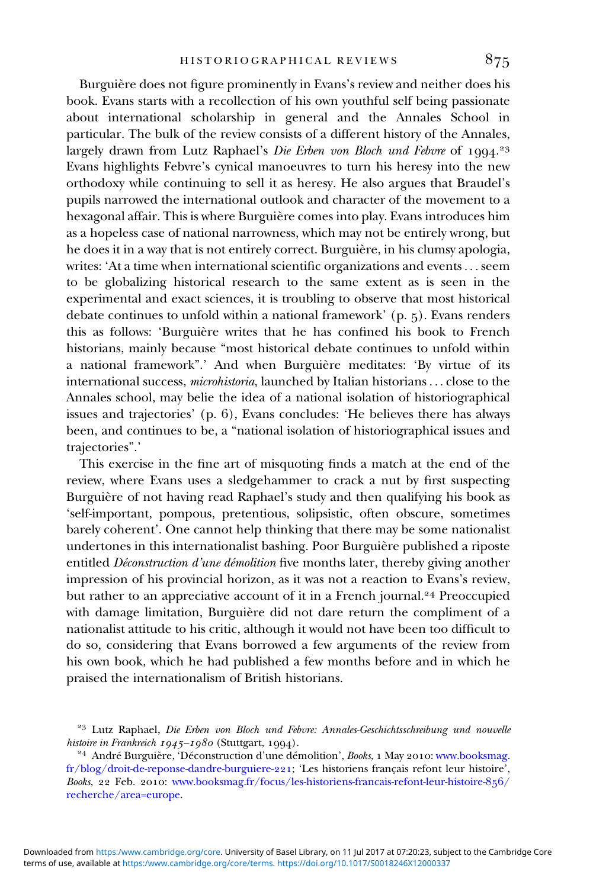Burguière does not figure prominently in Evans's review and neither does his book. Evans starts with a recollection of his own youthful self being passionate about international scholarship in general and the Annales School in particular. The bulk of the review consists of a different history of the Annales, largely drawn from Lutz Raphael's Die Erben von Bloch und Febvre of 1994.<sup>23</sup> Evans highlights Febvre's cynical manoeuvres to turn his heresy into the new orthodoxy while continuing to sell it as heresy. He also argues that Braudel's pupils narrowed the international outlook and character of the movement to a hexagonal affair. This is where Burguière comes into play. Evans introduces him as a hopeless case of national narrowness, which may not be entirely wrong, but he does it in a way that is not entirely correct. Burguière, in his clumsy apologia, writes: 'At a time when international scientific organizations and events ... seem to be globalizing historical research to the same extent as is seen in the experimental and exact sciences, it is troubling to observe that most historical debate continues to unfold within a national framework' (p.  $5$ ). Evans renders this as follows: 'Burguière writes that he has confined his book to French historians, mainly because "most historical debate continues to unfold within a national framework".' And when Burguière meditates: 'By virtue of its international success, microhistoria, launched by Italian historians ... close to the Annales school, may belie the idea of a national isolation of historiographical issues and trajectories'  $(p, 6)$ , Evans concludes: 'He believes there has always been, and continues to be, a "national isolation of historiographical issues and trajectories".'

This exercise in the fine art of misquoting finds a match at the end of the review, where Evans uses a sledgehammer to crack a nut by first suspecting Burguière of not having read Raphael's study and then qualifying his book as 'self-important, pompous, pretentious, solipsistic, often obscure, sometimes barely coherent'. One cannot help thinking that there may be some nationalist undertones in this internationalist bashing. Poor Burguière published a riposte entitled Déconstruction d'une démolition five months later, thereby giving another impression of his provincial horizon, as it was not a reaction to Evans's review, but rather to an appreciative account of it in a French journal.<sup>24</sup> Preoccupied with damage limitation, Burguière did not dare return the compliment of a nationalist attitude to his critic, although it would not have been too difficult to do so, considering that Evans borrowed a few arguments of the review from his own book, which he had published a few months before and in which he praised the internationalism of British historians.

<sup>&</sup>lt;sup>23</sup> Lutz Raphael, Die Erben von Bloch und Febvre: Annales-Geschichtsschreibung und nouvelle histoire in Frankreich 1945–1980 (Stuttgart, 1994).<br><sup>24</sup> André Burguière, 'Déconstruction d'une démolition', Books, 1 May 2010: [www.booksmag.](http://www.booksmag.fr/blog/droit-de-reponse-dandre-burguiere-221)

[fr/blog/droit-de-reponse-dandre-burguiere-](http://www.booksmag.fr/blog/droit-de-reponse-dandre-burguiere-221)221; 'Les historiens français refont leur histoire', Books, 22 Feb. 2010: [www.booksmag.fr/focus/les-historiens-francais-refont-leur-histoire-](http://www.booksmag.fr/focus/les-historiens-francais-refont-leur-histoire-856/recherche/area=europe)856/ [recherche/area=europe](http://www.booksmag.fr/focus/les-historiens-francais-refont-leur-histoire-856/recherche/area=europe).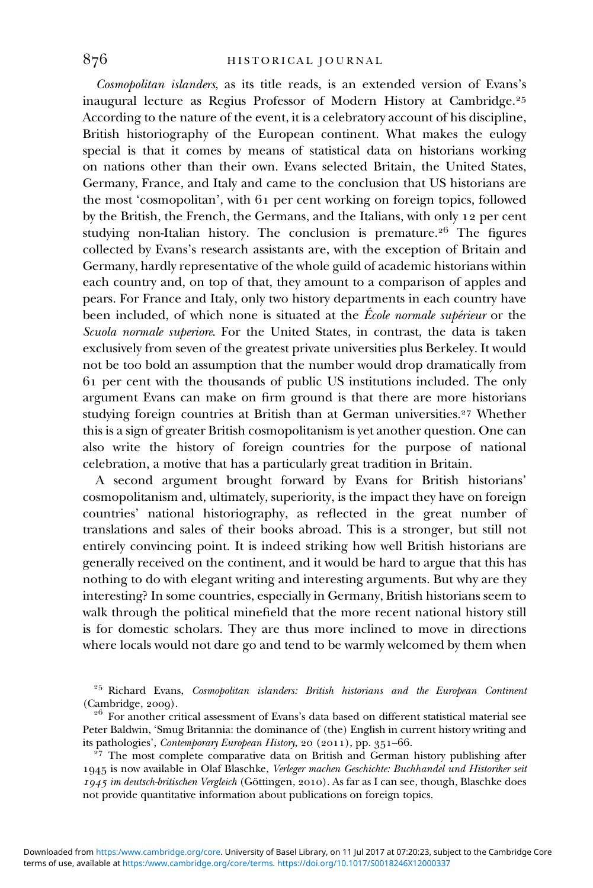Cosmopolitan islanders, as its title reads, is an extended version of Evans's inaugural lecture as Regius Professor of Modern History at Cambridge. According to the nature of the event, it is a celebratory account of his discipline, British historiography of the European continent. What makes the eulogy special is that it comes by means of statistical data on historians working on nations other than their own. Evans selected Britain, the United States, Germany, France, and Italy and came to the conclusion that US historians are the most 'cosmopolitan', with 61 per cent working on foreign topics, followed by the British, the French, the Germans, and the Italians, with only 12 per cent studying non-Italian history. The conclusion is premature.<sup>26</sup> The figures collected by Evans's research assistants are, with the exception of Britain and Germany, hardly representative of the whole guild of academic historians within each country and, on top of that, they amount to a comparison of apples and pears. For France and Italy, only two history departments in each country have been included, of which none is situated at the  $\acute{E}cole$  normale supérieur or the Scuola normale superiore. For the United States, in contrast, the data is taken exclusively from seven of the greatest private universities plus Berkeley. It would not be too bold an assumption that the number would drop dramatically from per cent with the thousands of public US institutions included. The only argument Evans can make on firm ground is that there are more historians studying foreign countries at British than at German universities.<sup>27</sup> Whether this is a sign of greater British cosmopolitanism is yet another question. One can also write the history of foreign countries for the purpose of national celebration, a motive that has a particularly great tradition in Britain.

A second argument brought forward by Evans for British historians' cosmopolitanism and, ultimately, superiority, is the impact they have on foreign countries' national historiography, as reflected in the great number of translations and sales of their books abroad. This is a stronger, but still not entirely convincing point. It is indeed striking how well British historians are generally received on the continent, and it would be hard to argue that this has nothing to do with elegant writing and interesting arguments. But why are they interesting? In some countries, especially in Germany, British historians seem to walk through the political minefield that the more recent national history still is for domestic scholars. They are thus more inclined to move in directions where locals would not dare go and tend to be warmly welcomed by them when

<sup>25</sup> Richard Evans, *Cosmopolitan islanders: British historians and the European Continent* (Cambridge, 2009).

 $^{26}\,$  For another critical assessment of Evans's data based on different statistical material see Peter Baldwin, 'Smug Britannia: the dominance of (the) English in current history writing and its pathologies', *Contemporary European History*, 20 (2011), pp. 351–66.<br><sup>27</sup> The most complete comparative data on British and German history publishing after

1945 is now available in Olaf Blaschke, Verleger machen Geschichte: Buchhandel und Historiker seit 1945 im deutsch-britischen Vergleich (Göttingen, 2010). As far as I can see, though, Blaschke does not provide quantitative information about publications on foreign topics.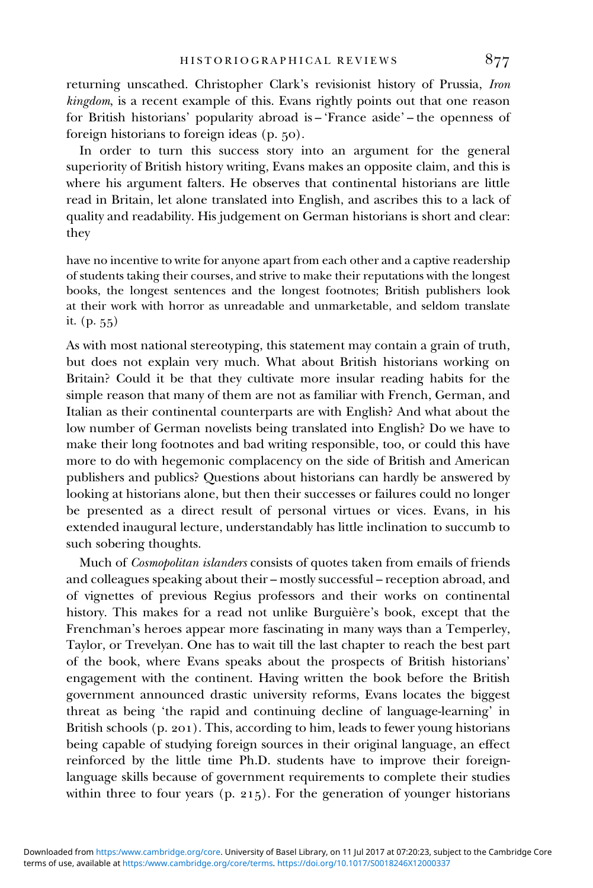returning unscathed. Christopher Clark's revisionist history of Prussia, Iron kingdom, is a recent example of this. Evans rightly points out that one reason for British historians' popularity abroad is – 'France aside' – the openness of foreign historians to foreign ideas  $(p, 50)$ .

In order to turn this success story into an argument for the general superiority of British history writing, Evans makes an opposite claim, and this is where his argument falters. He observes that continental historians are little read in Britain, let alone translated into English, and ascribes this to a lack of quality and readability. His judgement on German historians is short and clear: they

have no incentive to write for anyone apart from each other and a captive readership of students taking their courses, and strive to make their reputations with the longest books, the longest sentences and the longest footnotes; British publishers look at their work with horror as unreadable and unmarketable, and seldom translate it.  $(p. 55)$ 

As with most national stereotyping, this statement may contain a grain of truth, but does not explain very much. What about British historians working on Britain? Could it be that they cultivate more insular reading habits for the simple reason that many of them are not as familiar with French, German, and Italian as their continental counterparts are with English? And what about the low number of German novelists being translated into English? Do we have to make their long footnotes and bad writing responsible, too, or could this have more to do with hegemonic complacency on the side of British and American publishers and publics? Questions about historians can hardly be answered by looking at historians alone, but then their successes or failures could no longer be presented as a direct result of personal virtues or vices. Evans, in his extended inaugural lecture, understandably has little inclination to succumb to such sobering thoughts.

Much of Cosmopolitan islanders consists of quotes taken from emails of friends and colleagues speaking about their – mostly successful – reception abroad, and of vignettes of previous Regius professors and their works on continental history. This makes for a read not unlike Burguière's book, except that the Frenchman's heroes appear more fascinating in many ways than a Temperley, Taylor, or Trevelyan. One has to wait till the last chapter to reach the best part of the book, where Evans speaks about the prospects of British historians' engagement with the continent. Having written the book before the British government announced drastic university reforms, Evans locates the biggest threat as being 'the rapid and continuing decline of language-learning' in British schools (p. 201). This, according to him, leads to fewer young historians being capable of studying foreign sources in their original language, an effect reinforced by the little time Ph.D. students have to improve their foreignlanguage skills because of government requirements to complete their studies within three to four years  $(p. 215)$ . For the generation of younger historians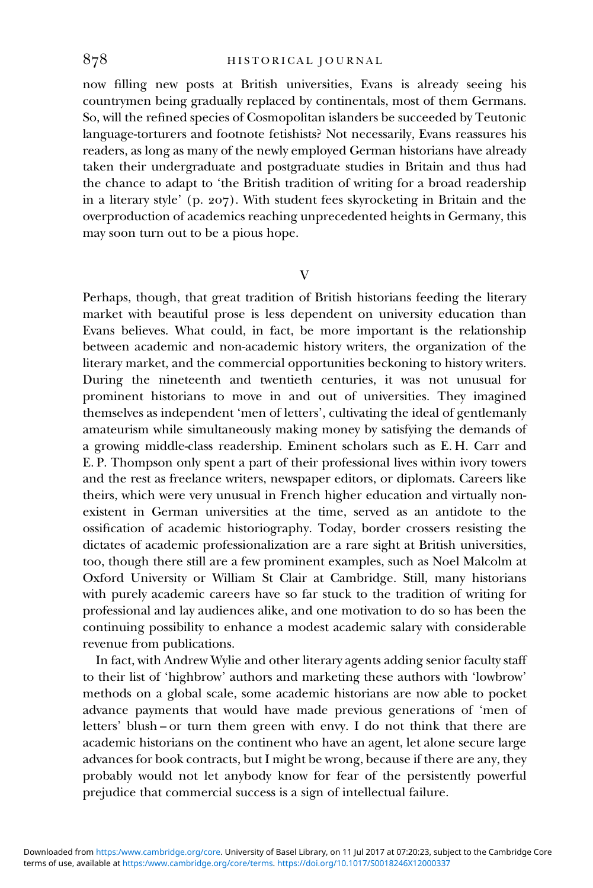now filling new posts at British universities, Evans is already seeing his countrymen being gradually replaced by continentals, most of them Germans. So, will the refined species of Cosmopolitan islanders be succeeded by Teutonic language-torturers and footnote fetishists? Not necessarily, Evans reassures his readers, as long as many of the newly employed German historians have already taken their undergraduate and postgraduate studies in Britain and thus had the chance to adapt to 'the British tradition of writing for a broad readership in a literary style' (p.  $207$ ). With student fees skyrocketing in Britain and the overproduction of academics reaching unprecedented heights in Germany, this may soon turn out to be a pious hope.

V

Perhaps, though, that great tradition of British historians feeding the literary market with beautiful prose is less dependent on university education than Evans believes. What could, in fact, be more important is the relationship between academic and non-academic history writers, the organization of the literary market, and the commercial opportunities beckoning to history writers. During the nineteenth and twentieth centuries, it was not unusual for prominent historians to move in and out of universities. They imagined themselves as independent 'men of letters', cultivating the ideal of gentlemanly amateurism while simultaneously making money by satisfying the demands of a growing middle-class readership. Eminent scholars such as E. H. Carr and E. P. Thompson only spent a part of their professional lives within ivory towers and the rest as freelance writers, newspaper editors, or diplomats. Careers like theirs, which were very unusual in French higher education and virtually nonexistent in German universities at the time, served as an antidote to the ossification of academic historiography. Today, border crossers resisting the dictates of academic professionalization are a rare sight at British universities, too, though there still are a few prominent examples, such as Noel Malcolm at Oxford University or William St Clair at Cambridge. Still, many historians with purely academic careers have so far stuck to the tradition of writing for professional and lay audiences alike, and one motivation to do so has been the continuing possibility to enhance a modest academic salary with considerable revenue from publications.

In fact, with Andrew Wylie and other literary agents adding senior faculty staff to their list of 'highbrow' authors and marketing these authors with 'lowbrow' methods on a global scale, some academic historians are now able to pocket advance payments that would have made previous generations of 'men of letters' blush – or turn them green with envy. I do not think that there are academic historians on the continent who have an agent, let alone secure large advances for book contracts, but I might be wrong, because if there are any, they probably would not let anybody know for fear of the persistently powerful prejudice that commercial success is a sign of intellectual failure.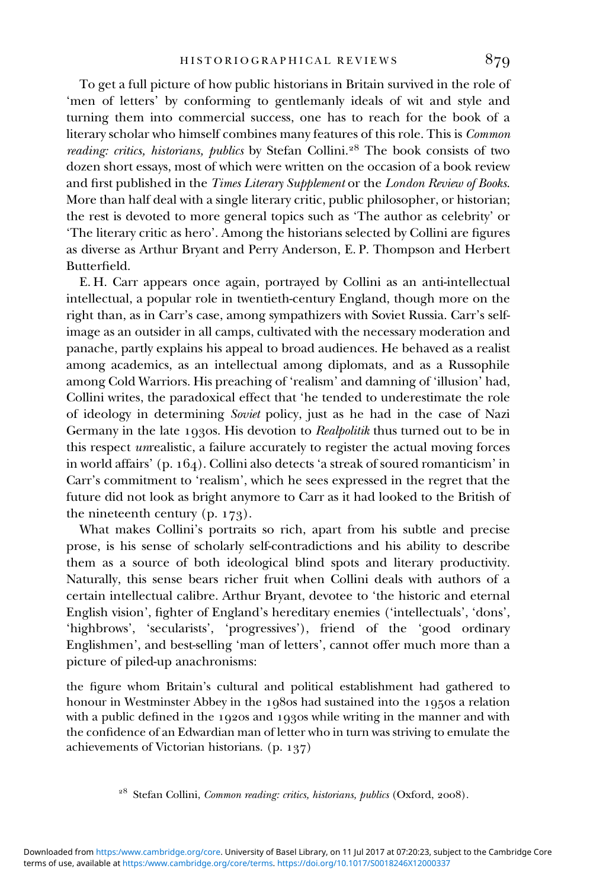To get a full picture of how public historians in Britain survived in the role of 'men of letters' by conforming to gentlemanly ideals of wit and style and turning them into commercial success, one has to reach for the book of a literary scholar who himself combines many features of this role. This is Common reading: critics, historians, publics by Stefan Collini.<sup>28</sup> The book consists of two dozen short essays, most of which were written on the occasion of a book review and first published in the Times Literary Supplement or the London Review of Books. More than half deal with a single literary critic, public philosopher, or historian; the rest is devoted to more general topics such as 'The author as celebrity' or 'The literary critic as hero'. Among the historians selected by Collini are figures as diverse as Arthur Bryant and Perry Anderson, E. P. Thompson and Herbert Butterfield.

E. H. Carr appears once again, portrayed by Collini as an anti-intellectual intellectual, a popular role in twentieth-century England, though more on the right than, as in Carr's case, among sympathizers with Soviet Russia. Carr's selfimage as an outsider in all camps, cultivated with the necessary moderation and panache, partly explains his appeal to broad audiences. He behaved as a realist among academics, as an intellectual among diplomats, and as a Russophile among Cold Warriors. His preaching of 'realism' and damning of 'illusion' had, Collini writes, the paradoxical effect that 'he tended to underestimate the role of ideology in determining Soviet policy, just as he had in the case of Nazi Germany in the late 1930s. His devotion to Realpolitik thus turned out to be in this respect unrealistic, a failure accurately to register the actual moving forces in world affairs' (p. 164). Collini also detects 'a streak of soured romanticism' in Carr's commitment to 'realism', which he sees expressed in the regret that the future did not look as bright anymore to Carr as it had looked to the British of the nineteenth century  $(p. 173)$ .

What makes Collini's portraits so rich, apart from his subtle and precise prose, is his sense of scholarly self-contradictions and his ability to describe them as a source of both ideological blind spots and literary productivity. Naturally, this sense bears richer fruit when Collini deals with authors of a certain intellectual calibre. Arthur Bryant, devotee to 'the historic and eternal English vision', fighter of England's hereditary enemies ('intellectuals', 'dons', 'highbrows', 'secularists', 'progressives'), friend of the 'good ordinary Englishmen', and best-selling 'man of letters', cannot offer much more than a picture of piled-up anachronisms:

the figure whom Britain's cultural and political establishment had gathered to honour in Westminster Abbey in the 1980s had sustained into the 1950s a relation with a public defined in the 1920s and 1930s while writing in the manner and with the confidence of an Edwardian man of letter who in turn was striving to emulate the achievements of Victorian historians.  $(p. 137)$ 

 $2^8$  Stefan Collini, Common reading: critics, historians, publics (Oxford, 2008).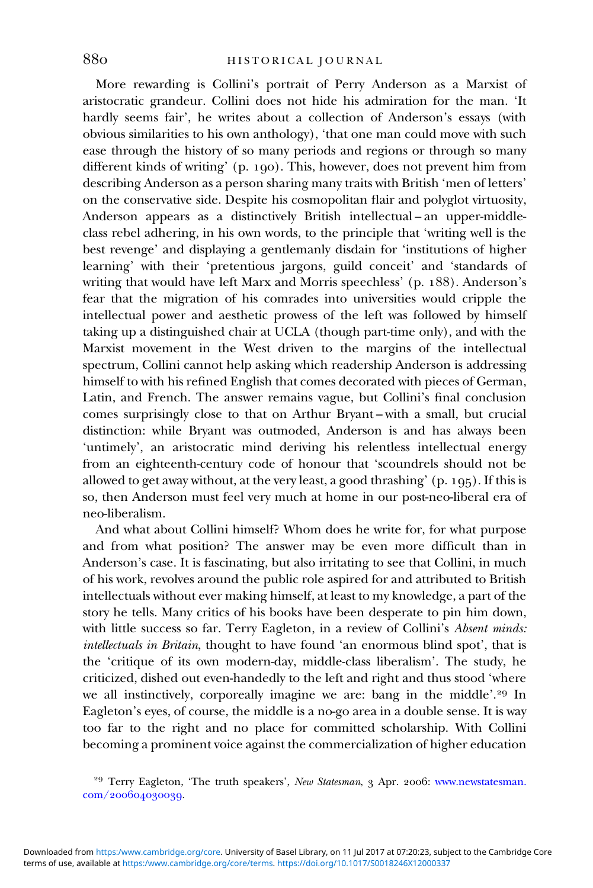More rewarding is Collini's portrait of Perry Anderson as a Marxist of aristocratic grandeur. Collini does not hide his admiration for the man. 'It hardly seems fair', he writes about a collection of Anderson's essays (with obvious similarities to his own anthology), 'that one man could move with such ease through the history of so many periods and regions or through so many different kinds of writing' (p. 190). This, however, does not prevent him from describing Anderson as a person sharing many traits with British 'men of letters' on the conservative side. Despite his cosmopolitan flair and polyglot virtuosity, Anderson appears as a distinctively British intellectual – an upper-middleclass rebel adhering, in his own words, to the principle that 'writing well is the best revenge' and displaying a gentlemanly disdain for 'institutions of higher learning' with their 'pretentious jargons, guild conceit' and 'standards of writing that would have left Marx and Morris speechless' (p. 188). Anderson's fear that the migration of his comrades into universities would cripple the intellectual power and aesthetic prowess of the left was followed by himself taking up a distinguished chair at UCLA (though part-time only), and with the Marxist movement in the West driven to the margins of the intellectual spectrum, Collini cannot help asking which readership Anderson is addressing himself to with his refined English that comes decorated with pieces of German, Latin, and French. The answer remains vague, but Collini's final conclusion comes surprisingly close to that on Arthur Bryant – with a small, but crucial distinction: while Bryant was outmoded, Anderson is and has always been 'untimely', an aristocratic mind deriving his relentless intellectual energy from an eighteenth-century code of honour that 'scoundrels should not be allowed to get away without, at the very least, a good thrashing'  $(p. 195)$ . If this is so, then Anderson must feel very much at home in our post-neo-liberal era of neo-liberalism.

And what about Collini himself? Whom does he write for, for what purpose and from what position? The answer may be even more difficult than in Anderson's case. It is fascinating, but also irritating to see that Collini, in much of his work, revolves around the public role aspired for and attributed to British intellectuals without ever making himself, at least to my knowledge, a part of the story he tells. Many critics of his books have been desperate to pin him down, with little success so far. Terry Eagleton, in a review of Collini's Absent minds: intellectuals in Britain, thought to have found 'an enormous blind spot', that is the 'critique of its own modern-day, middle-class liberalism'. The study, he criticized, dished out even-handedly to the left and right and thus stood 'where we all instinctively, corporeally imagine we are: bang in the middle'.<sup>29</sup> In Eagleton's eyes, of course, the middle is a no-go area in a double sense. It is way too far to the right and no place for committed scholarship. With Collini becoming a prominent voice against the commercialization of higher education

<sup>&</sup>lt;sup>29</sup> Terry Eagleton, 'The truth speakers', New Statesman, 3 Apr. 2006: [www.newstatesman.](http://www.newstatesman.com/200604030039) com/200604030039